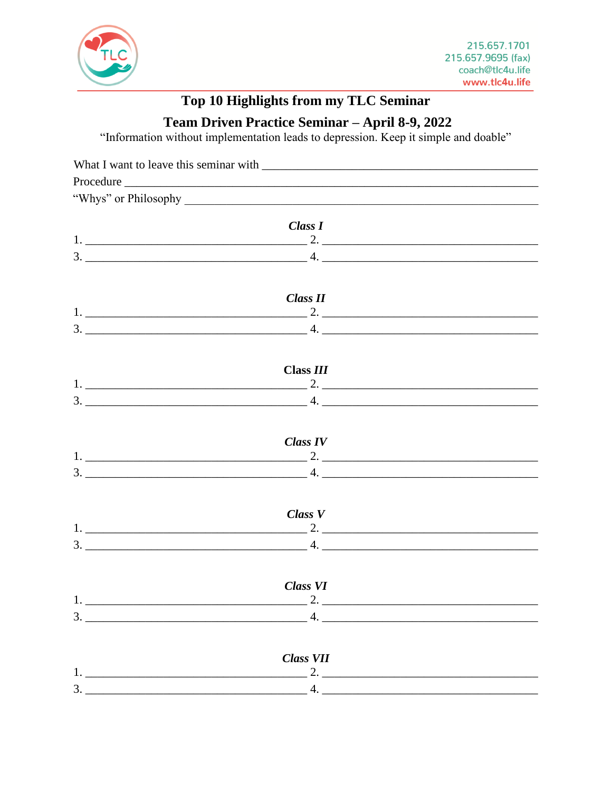

## **Top 10 Highlights from my TLC Seminar**

Team Driven Practice Seminar - April 8-9, 2022

"Information without implementation leads to depression. Keep it simple and doable"

|               | "Whys" or Philosophy                                                                                                                                                                                                                                                                                                   |  |
|---------------|------------------------------------------------------------------------------------------------------------------------------------------------------------------------------------------------------------------------------------------------------------------------------------------------------------------------|--|
|               |                                                                                                                                                                                                                                                                                                                        |  |
|               | Class I                                                                                                                                                                                                                                                                                                                |  |
|               |                                                                                                                                                                                                                                                                                                                        |  |
|               |                                                                                                                                                                                                                                                                                                                        |  |
|               |                                                                                                                                                                                                                                                                                                                        |  |
|               | Class II                                                                                                                                                                                                                                                                                                               |  |
|               |                                                                                                                                                                                                                                                                                                                        |  |
|               |                                                                                                                                                                                                                                                                                                                        |  |
|               |                                                                                                                                                                                                                                                                                                                        |  |
|               | Class III                                                                                                                                                                                                                                                                                                              |  |
|               |                                                                                                                                                                                                                                                                                                                        |  |
|               |                                                                                                                                                                                                                                                                                                                        |  |
|               |                                                                                                                                                                                                                                                                                                                        |  |
|               | <b>Class IV</b>                                                                                                                                                                                                                                                                                                        |  |
|               |                                                                                                                                                                                                                                                                                                                        |  |
|               | 3. $\frac{1}{2}$ $\frac{1}{2}$ $\frac{1}{2}$ $\frac{1}{2}$ $\frac{1}{2}$ $\frac{1}{2}$ $\frac{1}{2}$ $\frac{1}{2}$ $\frac{1}{2}$ $\frac{1}{2}$ $\frac{1}{2}$ $\frac{1}{2}$ $\frac{1}{2}$ $\frac{1}{2}$ $\frac{1}{2}$ $\frac{1}{2}$ $\frac{1}{2}$ $\frac{1}{2}$ $\frac{1}{2}$ $\frac{1}{2}$ $\frac{1}{2}$ $\frac{1}{2}$ |  |
|               |                                                                                                                                                                                                                                                                                                                        |  |
|               | $Class\ V$                                                                                                                                                                                                                                                                                                             |  |
|               |                                                                                                                                                                                                                                                                                                                        |  |
|               |                                                                                                                                                                                                                                                                                                                        |  |
|               |                                                                                                                                                                                                                                                                                                                        |  |
|               | <b>Class VI</b>                                                                                                                                                                                                                                                                                                        |  |
| 1.            | 2.                                                                                                                                                                                                                                                                                                                     |  |
|               |                                                                                                                                                                                                                                                                                                                        |  |
|               |                                                                                                                                                                                                                                                                                                                        |  |
|               |                                                                                                                                                                                                                                                                                                                        |  |
| $\frac{1}{1}$ | <b>Class VII</b><br>2. $\frac{1}{2}$                                                                                                                                                                                                                                                                                   |  |
|               | $3.$ 4.                                                                                                                                                                                                                                                                                                                |  |
|               |                                                                                                                                                                                                                                                                                                                        |  |